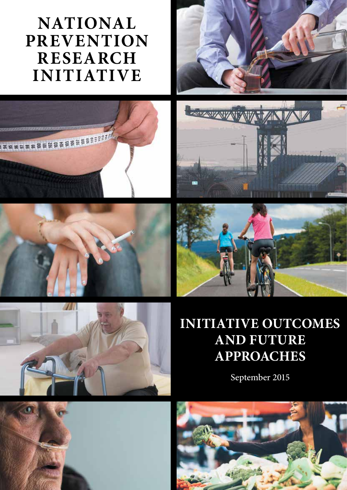# **NATIONAL PREVENTION RESEARCH INITIATIVE**













# **INITIATIVE OUTCOMES AND FUTURE APPROACHES**

September 2015



![](_page_0_Picture_10.jpeg)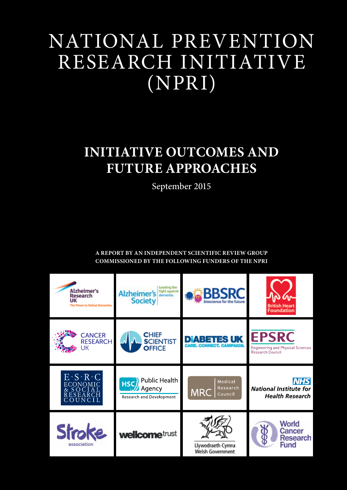# NATIONAL PREVENTION RESEARCH INITIATIVE (NPRI)

# **INITIATIVE OUTCOMES AND FUTURE APPROACHES**

September 2015

**A REPORT BY AN INDEPENDENT SCIENTIFIC REVIEW GROUP COMMISSIONED BY THE FOLLOWING FUNDERS OF THE NPRI**

![](_page_2_Picture_4.jpeg)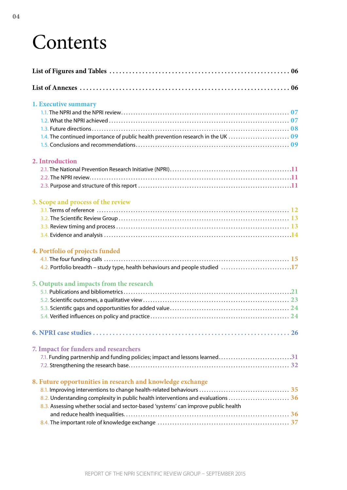# **Contents**

| 1. Executive summary                                                               |
|------------------------------------------------------------------------------------|
|                                                                                    |
|                                                                                    |
|                                                                                    |
|                                                                                    |
|                                                                                    |
| 2. Introduction                                                                    |
|                                                                                    |
|                                                                                    |
|                                                                                    |
| 3. Scope and process of the review                                                 |
|                                                                                    |
|                                                                                    |
|                                                                                    |
|                                                                                    |
| 4. Portfolio of projects funded                                                    |
|                                                                                    |
| 4.2. Portfolio breadth – study type, health behaviours and people studied 17       |
| 5. Outputs and impacts from the research                                           |
|                                                                                    |
|                                                                                    |
|                                                                                    |
|                                                                                    |
|                                                                                    |
| 7. Impact for funders and researchers                                              |
| 7.1. Funding partnership and funding policies; impact and lessons learned31        |
|                                                                                    |
| 8. Future opportunities in research and knowledge exchange                         |
|                                                                                    |
| 8.2. Understanding complexity in public health interventions and evaluations  36   |
| 8.3. Assessing whether social and sector-based 'systems' can improve public health |
|                                                                                    |
|                                                                                    |
|                                                                                    |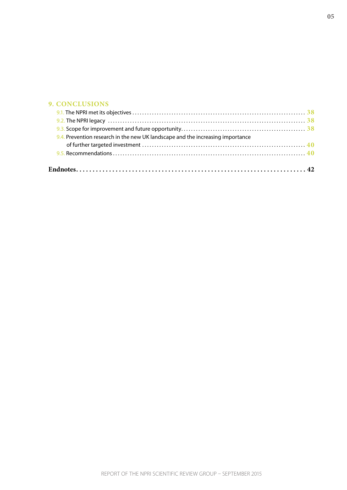#### **[9. CONCLUSIONS](#page-37-0)**

| 9.4. Prevention research in the new UK landscape and the increasing importance |  |
|--------------------------------------------------------------------------------|--|
|                                                                                |  |
|                                                                                |  |
|                                                                                |  |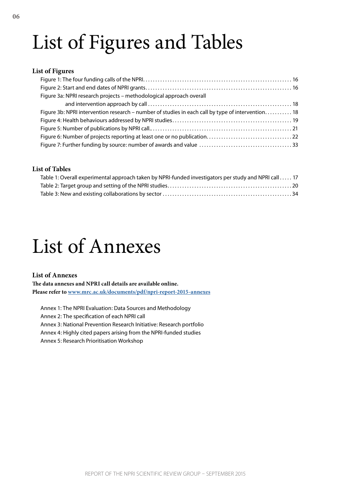# <span id="page-5-0"></span>List of Figures and Tables

#### **List of Figures**

| Figure 3a: NPRI research projects - methodological approach overall                               |  |
|---------------------------------------------------------------------------------------------------|--|
|                                                                                                   |  |
| Figure 3b: NPRI intervention research – number of studies in each call by type of intervention 18 |  |
|                                                                                                   |  |
|                                                                                                   |  |
|                                                                                                   |  |
|                                                                                                   |  |

#### **List of Tables**

| Table 1: Overall experimental approach taken by NPRI-funded investigators per study and NPRI call  17 |  |
|-------------------------------------------------------------------------------------------------------|--|
|                                                                                                       |  |
|                                                                                                       |  |

# List of Annexes

#### **List of Annexes**

**The data annexes and NPRI call details are available online. Please refer to [www.mrc.ac.uk/documents/pdf/npri-report-2015-annexes](http://www.mrc.ac.uk/documents/pdf/npri-report-2015-annexes)**

Annex 1: The NPRI Evaluation: Data Sources and Methodology Annex 2: The specification of each NPRI call Annex 3: National Prevention Research Initiative: Research portfolio Annex 4: Highly cited papers arising from the NPRI-funded studies Annex 5: Research Prioritisation Workshop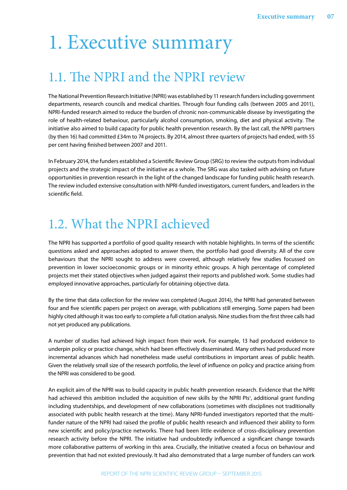# <span id="page-6-0"></span>1. Executive summary

## 1.1. The NPRI and the NPRI review

The National Prevention Research Initiative (NPRI) was established by 11 research funders including government departments, research councils and medical charities. Through four funding calls (between 2005 and 2011), NPRI-funded research aimed to reduce the burden of chronic non-communicable disease by investigating the role of health-related behaviour, particularly alcohol consumption, smoking, diet and physical activity. The initiative also aimed to build capacity for public health prevention research. By the last call, the NPRI partners (by then 16) had committed £34m to 74 projects. By 2014, almost three quarters of projects had ended, with 55 per cent having finished between 2007 and 2011.

In February 2014, the funders established a Scientific Review Group (SRG) to review the outputs from individual projects and the strategic impact of the initiative as a whole. The SRG was also tasked with advising on future opportunities in prevention research in the light of the changed landscape for funding public health research. The review included extensive consultation with NPRI-funded investigators, current funders, and leaders in the scientific field.

# 1.2. What the NPRI achieved

The NPRI has supported a portfolio of good quality research with notable highlights. In terms of the scientific questions asked and approaches adopted to answer them, the portfolio had good diversity. All of the core behaviours that the NPRI sought to address were covered, although relatively few studies focussed on prevention in lower socioeconomic groups or in minority ethnic groups. A high percentage of completed projects met their stated objectives when judged against their reports and published work. Some studies had employed innovative approaches, particularly for obtaining objective data.

By the time that data collection for the review was completed (August 2014), the NPRI had generated between four and five scientific papers per project on average, with publications still emerging. Some papers had been highly cited although it was too early to complete a full citation analysis. Nine studies from the first three calls had not yet produced any publications.

A number of studies had achieved high impact from their work. For example, 13 had produced evidence to underpin policy or practice change, which had been effectively disseminated. Many others had produced more incremental advances which had nonetheless made useful contributions in important areas of public health. Given the relatively small size of the research portfolio, the level of influence on policy and practice arising from the NPRI was considered to be good.

An explicit aim of the NPRI was to build capacity in public health prevention research. Evidence that the NPRI had achieved this ambition included the acquisition of new skills by the NPRI PIs<sup>1</sup>, additional grant funding including studentships, and development of new collaborations (sometimes with disciplines not traditionally associated with public health research at the time). Many NPRI-funded investigators reported that the multifunder nature of the NPRI had raised the profile of public health research and influenced their ability to form new scientific and policy/practice networks. There had been little evidence of cross-disciplinary prevention research activity before the NPRI. The initiative had undoubtedly influenced a significant change towards more collaborative patterns of working in this area. Crucially, the initiative created a focus on behaviour and prevention that had not existed previously. It had also demonstrated that a large number of funders can work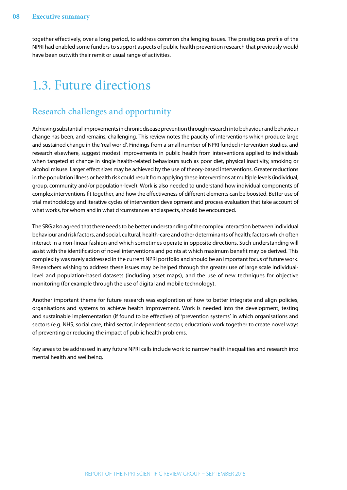<span id="page-7-0"></span>together effectively, over a long period, to address common challenging issues. The prestigious profile of the NPRI had enabled some funders to support aspects of public health prevention research that previously would have been outwith their remit or usual range of activities.

## 1.3. Future directions

### Research challenges and opportunity

Achieving substantial improvements in chronic disease prevention through research into behaviour and behaviour change has been, and remains, challenging. This review notes the paucity of interventions which produce large and sustained change in the 'real world'. Findings from a small number of NPRI funded intervention studies, and research elsewhere, suggest modest improvements in public health from interventions applied to individuals when targeted at change in single health-related behaviours such as poor diet, physical inactivity, smoking or alcohol misuse. Larger effect sizes may be achieved by the use of theory-based interventions. Greater reductions in the population illness or health risk could result from applying these interventions at multiple levels (individual, group, community and/or population-level). Work is also needed to understand how individual components of complex interventions fit together, and how the effectiveness of different elements can be boosted. Better use of trial methodology and iterative cycles of intervention development and process evaluation that take account of what works, for whom and in what circumstances and aspects, should be encouraged.

The SRG also agreed that there needs to be better understanding of the complex interaction between individual behaviour and risk factors, and social, cultural, health-care and other determinants of health; factors which often interact in a non-linear fashion and which sometimes operate in opposite directions. Such understanding will assist with the identification of novel interventions and points at which maximum benefit may be derived. This complexity was rarely addressed in the current NPRI portfolio and should be an important focus of future work. Researchers wishing to address these issues may be helped through the greater use of large scale individuallevel and population-based datasets (including asset maps), and the use of new techniques for objective monitoring (for example through the use of digital and mobile technology).

Another important theme for future research was exploration of how to better integrate and align policies, organisations and systems to achieve health improvement. Work is needed into the development, testing and sustainable implementation (if found to be effective) of 'prevention systems' in which organisations and sectors (e.g. NHS, social care, third sector, independent sector, education) work together to create novel ways of preventing or reducing the impact of public health problems.

Key areas to be addressed in any future NPRI calls include work to narrow health inequalities and research into mental health and wellbeing.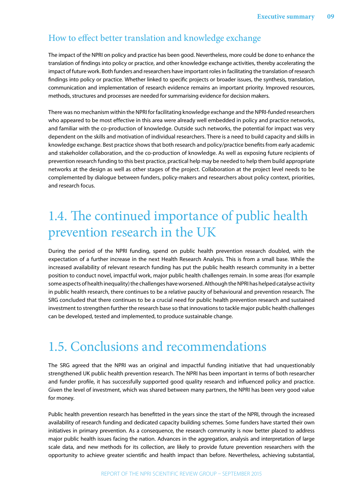### <span id="page-8-0"></span>How to effect better translation and knowledge exchange

The impact of the NPRI on policy and practice has been good. Nevertheless, more could be done to enhance the translation of findings into policy or practice, and other knowledge exchange activities, thereby accelerating the impact of future work. Both funders and researchers have important roles in facilitating the translation of research findings into policy or practice. Whether linked to specific projects or broader issues, the synthesis, translation, communication and implementation of research evidence remains an important priority. Improved resources, methods, structures and processes are needed for summarising evidence for decision makers.

There was no mechanism within the NPRI for facilitating knowledge exchange and the NPRI-funded researchers who appeared to be most effective in this area were already well embedded in policy and practice networks, and familiar with the co-production of knowledge. Outside such networks, the potential for impact was very dependent on the skills and motivation of individual researchers. There is a need to build capacity and skills in knowledge exchange. Best practice shows that both research and policy/practice benefits from early academic and stakeholder collaboration, and the co-production of knowledge. As well as exposing future recipients of prevention research funding to this best practice, practical help may be needed to help them build appropriate networks at the design as well as other stages of the project. Collaboration at the project level needs to be complemented by dialogue between funders, policy-makers and researchers about policy context, priorities, and research focus.

# 1.4. The continued importance of public health prevention research in the UK

During the period of the NPRI funding, spend on public health prevention research doubled, with the expectation of a further increase in the next Health Research Analysis. This is from a small base. While the increased availability of relevant research funding has put the public health research community in a better position to conduct novel, impactful work, major public health challenges remain. In some areas (for example some aspects of health inequality) the challenges have worsened. Although the NPRI has helped catalyse activity in public health research, there continues to be a relative paucity of behavioural and prevention research. The SRG concluded that there continues to be a crucial need for public health prevention research and sustained investment to strengthen further the research base so that innovations to tackle major public health challenges can be developed, tested and implemented, to produce sustainable change.

## 1.5. Conclusions and recommendations

The SRG agreed that the NPRI was an original and impactful funding initiative that had unquestionably strengthened UK public health prevention research. The NPRI has been important in terms of both researcher and funder profile, it has successfully supported good quality research and influenced policy and practice. Given the level of investment, which was shared between many partners, the NPRI has been very good value for money.

Public health prevention research has benefitted in the years since the start of the NPRI, through the increased availability of research funding and dedicated capacity building schemes. Some funders have started their own initiatives in primary prevention. As a consequence, the research community is now better placed to address major public health issues facing the nation. Advances in the aggregation, analysis and interpretation of large scale data, and new methods for its collection, are likely to provide future prevention researchers with the opportunity to achieve greater scientific and health impact than before. Nevertheless, achieving substantial,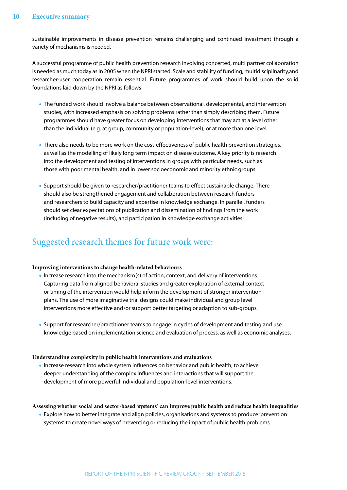sustainable improvements in disease prevention remains challenging and continued investment through a variety of mechanisms is needed.

A successful programme of public health prevention research involving concerted, multi partner collaboration is needed as much today as in 2005 when the NPRI started. Scale and stability of funding, multidisciplinarity,and researcher-user cooperation remain essential. Future programmes of work should build upon the solid foundations laid down by the NPRI as follows:

- **•** The funded work should involve a balance between observational, developmental, and intervention studies, with increased emphasis on solving problems rather than simply describing them. Future programmes should have greater focus on developing interventions that may act at a level other than the individual (e.g. at group, community or population-level), or at more than one level.
- **•** There also needs to be more work on the cost-effectiveness of public health prevention strategies, as well as the modelling of likely long term impact on disease outcome. A key priority is research into the development and testing of interventions in groups with particular needs, such as those with poor mental health, and in lower socioeconomic and minority ethnic groups.
- **•** Support should be given to researcher/practitioner teams to effect sustainable change. There should also be strengthened engagement and collaboration between research funders and researchers to build capacity and expertise in knowledge exchange. In parallel, funders should set clear expectations of publication and dissemination of findings from the work (including of negative results), and participation in knowledge exchange activities.

### Suggested research themes for future work were:

#### **Improving interventions to change health-related behaviours**

- Increase research into the mechanism(s) of action, context, and delivery of interventions. Capturing data from aligned behavioral studies and greater exploration of external context or timing of the intervention would help inform the development of stronger intervention plans. The use of more imaginative trial designs could make individual and group level interventions more effective and/or support better targeting or adaption to sub-groups.
- **•** Support for researcher/practitioner teams to engage in cycles of development and testing and use knowledge based on implementation science and evaluation of process, as well as economic analyses.

#### **Understanding complexity in public health interventions and evaluations**

**•** Increase research into whole system influences on behavior and public health, to achieve deeper understanding of the complex influences and interactions that will support the development of more powerful individual and population-level interventions.

#### **Assessing whether social and sector-based 'systems' can improve public health and reduce health inequalities**

**•** Explore how to better integrate and align policies, organisations and systems to produce 'prevention systems' to create novel ways of preventing or reducing the impact of public health problems.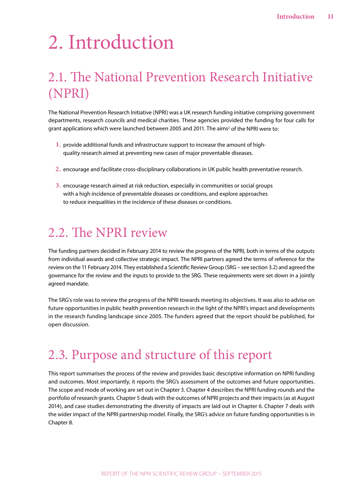# <span id="page-10-0"></span>2. Introduction

# 2.1. The National Prevention Research Initiative (NPRI)

The National Prevention Research Initiative (NPRI) was a UK research funding initiative comprising government departments, research councils and medical charities. These agencies provided the funding for four calls for grant applications which were launched between [2](#page-41-2)005 and 2011. The aims<sup>2</sup> of the NPRI were to:

- **1.** provide additional funds and infrastructure support to increase the amount of highquality research aimed at preventing new cases of major preventable diseases.
- **2.** encourage and facilitate cross-disciplinary collaborations in UK public health preventative research.
- **3.** encourage research aimed at risk reduction, especially in communities or social groups with a high incidence of preventable diseases or conditions, and explore approaches to reduce inequalities in the incidence of these diseases or conditions.

### 2.2. The NPRI review

The funding partners decided in February 2014 to review the progress of the NPRI, both in terms of the outputs from individual awards and collective strategic impact. The NPRI partners agreed the terms of reference for the review on the 11 February 2014. They established a Scientific Review Group (SRG – see section 3.2) and agreed the governance for the review and the inputs to provide to the SRG. These requirements were set down in a jointly agreed mandate.

The SRG's role was to review the progress of the NPRI towards meeting its objectives. It was also to advise on future opportunities in public health prevention research in the light of the NPRI's impact and developments in the research funding landscape since 2005. The funders agreed that the report should be published, for open discussion.

# 2.3. Purpose and structure of this report

This report summarises the process of the review and provides basic descriptive information on NPRI funding and outcomes. Most importantly, it reports the SRG's assessment of the outcomes and future opportunities. The scope and mode of working are set out in Chapter 3. Chapter 4 describes the NPRI funding rounds and the portfolio of research grants. Chapter 5 deals with the outcomes of NPRI projects and their impacts (as at August 2014), and case studies demonstrating the diversity of impacts are laid out in Chapter 6. Chapter 7 deals with the wider impact of the NPRI partnership model. Finally, the SRG's advice on future funding opportunities is in Chapter 8.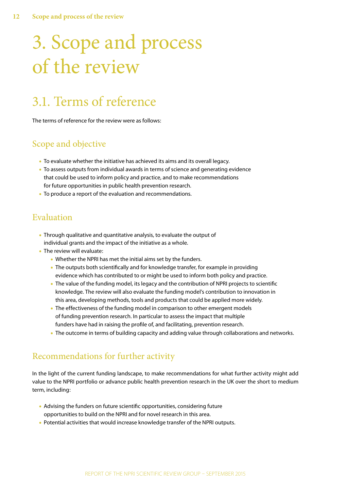# <span id="page-11-0"></span>3. Scope and process of the review

# 3.1. Terms of reference

The terms of reference for the review were as follows:

### Scope and objective

- **•** To evaluate whether the initiative has achieved its aims and its overall legacy.
- **•** To assess outputs from individual awards in terms of science and generating evidence that could be used to inform policy and practice, and to make recommendations for future opportunities in public health prevention research.
- **•** To produce a report of the evaluation and recommendations.

### Evaluation

- **•** Through qualitative and quantitative analysis, to evaluate the output of individual grants and the impact of the initiative as a whole.
- **•** The review will evaluate:
	- **•** Whether the NPRI has met the initial aims set by the funders.
	- **•** The outputs both scientifically and for knowledge transfer, for example in providing evidence which has contributed to or might be used to inform both policy and practice.
	- **•** The value of the funding model, its legacy and the contribution of NPRI projects to scientific knowledge. The review will also evaluate the funding model's contribution to innovation in this area, developing methods, tools and products that could be applied more widely.
	- **•** The effectiveness of the funding model in comparison to other emergent models of funding prevention research. In particular to assess the impact that multiple funders have had in raising the profile of, and facilitating, prevention research.
	- **•** The outcome in terms of building capacity and adding value through collaborations and networks.

### Recommendations for further activity

In the light of the current funding landscape, to make recommendations for what further activity might add value to the NPRI portfolio or advance public health prevention research in the UK over the short to medium term, including:

- **•** Advising the funders on future scientific opportunities, considering future opportunities to build on the NPRI and for novel research in this area.
- **•** Potential activities that would increase knowledge transfer of the NPRI outputs.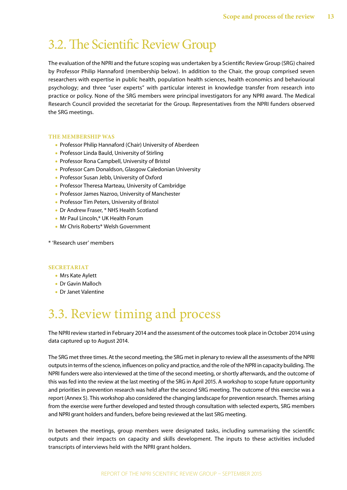## <span id="page-12-0"></span>3.2. The Scientific Review Group

The evaluation of the NPRI and the future scoping was undertaken by a Scientific Review Group (SRG) chaired by Professor Philip Hannaford (membership below). In addition to the Chair, the group comprised seven researchers with expertise in public health, population health sciences, health economics and behavioural psychology; and three "user experts" with particular interest in knowledge transfer from research into practice or policy. None of the SRG members were principal investigators for any NPRI award. The Medical Research Council provided the secretariat for the Group. Representatives from the NPRI funders observed the SRG meetings.

#### **THE MEMBERSHIP WAS**

- **•** Professor Philip Hannaford (Chair) University of Aberdeen
- **•** Professor Linda Bauld, University of Stirling
- **•** Professor Rona Campbell, University of Bristol
- **•** Professor Cam Donaldson, Glasgow Caledonian University
- **•** Professor Susan Jebb, University of Oxford
- **•** Professor Theresa Marteau, University of Cambridge
- **•** Professor James Nazroo, University of Manchester
- **•** Professor Tim Peters, University of Bristol
- **•** Dr Andrew Fraser, \* NHS Health Scotland
- **•** Mr Paul Lincoln,\* UK Health Forum
- **•** Mr Chris Roberts\* Welsh Government
- \* 'Research user' members

#### **SECRETARIAT**

- **•** Mrs Kate Aylett
- **•** Dr Gavin Malloch
- **•** Dr Janet Valentine

# 3.3. Review timing and process

The NPRI review started in February 2014 and the assessment of the outcomes took place in October 2014 using data captured up to August 2014.

The SRG met three times. At the second meeting, the SRG met in plenary to review all the assessments of the NPRI outputs in terms of the science, influences on policy and practice, and the role of the NPRI in capacity building. The NPRI funders were also interviewed at the time of the second meeting, or shortly afterwards, and the outcome of this was fed into the review at the last meeting of the SRG in April 2015. A workshop to scope future opportunity and priorities in prevention research was held after the second SRG meeting. The outcome of this exercise was a report (Annex 5). This workshop also considered the changing landscape for prevention research. Themes arising from the exercise were further developed and tested through consultation with selected experts, SRG members and NPRI grant holders and funders, before being reviewed at the last SRG meeting.

In between the meetings, group members were designated tasks, including summarising the scientific outputs and their impacts on capacity and skills development. The inputs to these activities included transcripts of interviews held with the NPRI grant holders.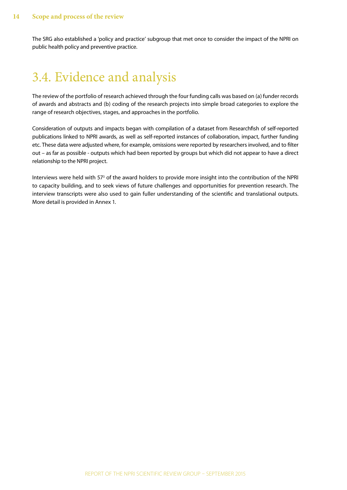<span id="page-13-0"></span>The SRG also established a 'policy and practice' subgroup that met once to consider the impact of the NPRI on public health policy and preventive practice.

## 3.4. Evidence and analysis

The review of the portfolio of research achieved through the four funding calls was based on (a) funder records of awards and abstracts and (b) coding of the research projects into simple broad categories to explore the range of research objectives, stages, and approaches in the portfolio.

Consideration of outputs and impacts began with compilation of a dataset from Researchfish of self-reported publications linked to NPRI awards, as well as self-reported instances of collaboration, impact, further funding etc. These data were adjusted where, for example, omissions were reported by researchers involved, and to filter out – as far as possible - outputs which had been reported by groups but which did not appear to have a direct relationship to the NPRI project.

Interviews were held with 57<sup>[3](#page-41-3)</sup> of the award holders to provide more insight into the contribution of the NPRI to capacity building, and to seek views of future challenges and opportunities for prevention research. The interview transcripts were also used to gain fuller understanding of the scientific and translational outputs. More detail is provided in Annex 1.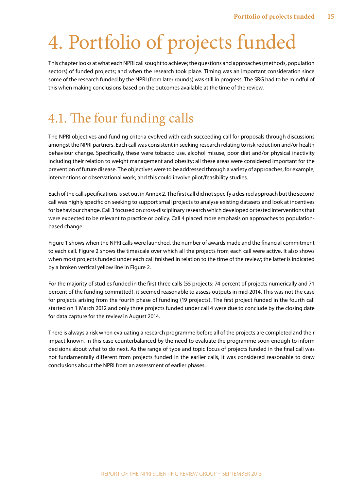# <span id="page-14-0"></span>4. Portfolio of projects funded

This chapter looks at what each NPRI call sought to achieve; the questions and approaches (methods, population sectors) of funded projects; and when the research took place. Timing was an important consideration since some of the research funded by the NPRI (from later rounds) was still in progress. The SRG had to be mindful of this when making conclusions based on the outcomes available at the time of the review.

## 4.1. The four funding calls

The NPRI objectives and funding criteria evolved with each succeeding call for proposals through discussions amongst the NPRI partners. Each call was consistent in seeking research relating to risk reduction and/or health behaviour change. Specifically, these were tobacco use, alcohol misuse, poor diet and/or physical inactivity including their relation to weight management and obesity; all these areas were considered important for the prevention of future disease. The objectives were to be addressed through a variety of approaches, for example, interventions or observational work; and this could involve pilot/feasibility studies.

Each of the call specifications is set out in Annex 2. The first call did not specify a desired approach but the second call was highly specific on seeking to support small projects to analyse existing datasets and look at incentives for behaviour change. Call 3 focused on cross-disciplinary research which developed or tested interventions that were expected to be relevant to practice or policy. Call 4 placed more emphasis on approaches to populationbased change.

Figure 1 shows when the NPRI calls were launched, the number of awards made and the financial commitment to each call. Figure 2 shows the timescale over which all the projects from each call were active. It also shows when most projects funded under each call finished in relation to the time of the review; the latter is indicated by a broken vertical yellow line in Figure 2.

For the majority of studies funded in the first three calls (55 projects: 74 percent of projects numerically and 71 percent of the funding committed), it seemed reasonable to assess outputs in mid-2014. This was not the case for projects arising from the fourth phase of funding (19 projects). The first project funded in the fourth call started on 1 March 2012 and only three projects funded under call 4 were due to conclude by the closing date for data capture for the review in August 2014.

There is always a risk when evaluating a research programme before all of the projects are completed and their impact known, in this case counterbalanced by the need to evaluate the programme soon enough to inform decisions about what to do next. As the range of type and topic focus of projects funded in the final call was not fundamentally different from projects funded in the earlier calls, it was considered reasonable to draw conclusions about the NPRI from an assessment of earlier phases.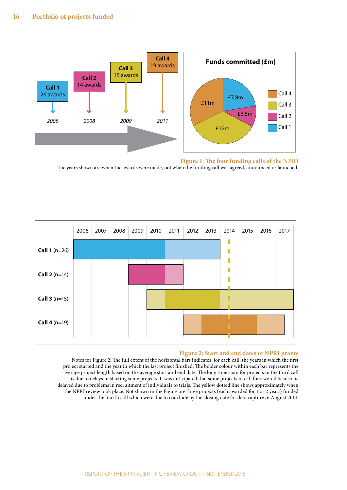![](_page_15_Figure_1.jpeg)

<span id="page-15-0"></span>**Figure 1: The four funding calls of the NPRI** 

The years shown are when the awards were made, not when the funding call was agreed, announced or launched.

![](_page_15_Figure_4.jpeg)

#### <span id="page-15-1"></span>**Figure 2: Start and end dates of NPRI grants**

Notes for Figure 2: The full extent of the horizontal bars indicates, for each call, the years in which the first project started and the year in which the last project finished. The bolder colour within each bar represents the average project length based on the average start and end date. The long time span for projects in the third call is due to delays in starting some projects. It was anticipated that some projects in call four would be also be delayed due to problems in recruitment of individuals to trials. The yellow dotted line shows approximately when the NPRI review took place. Not shown in the Figure are three projects (each awarded for 1 or 2 years) funded under the fourth call which were due to conclude by the closing date for data capture in August 2014.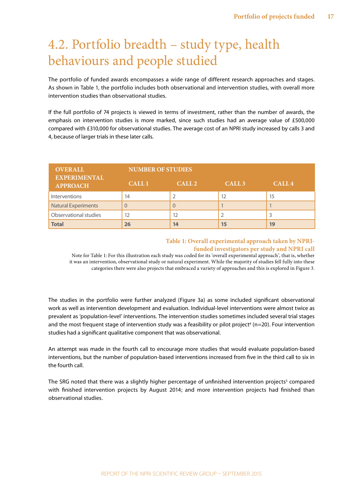# <span id="page-16-0"></span>4.2. Portfolio breadth – study type, health behaviours and people studied

The portfolio of funded awards encompasses a wide range of different research approaches and stages. As shown in Table 1, the portfolio includes both observational and intervention studies, with overall more intervention studies than observational studies.

If the full portfolio of 74 projects is viewed in terms of investment, rather than the number of awards, the emphasis on intervention studies is more marked, since such studies had an average value of £500,000 compared with £310,000 for observational studies. The average cost of an NPRI study increased by calls 3 and 4, because of larger trials in these later calls.

| <b>OVERALL</b>                         | <b>NUMBER OF STUDIES</b> |                   |                   |                   |
|----------------------------------------|--------------------------|-------------------|-------------------|-------------------|
| <b>EXPERIMENTAL</b><br><b>APPROACH</b> | <b>CALL 1</b>            | CALL <sub>2</sub> | CALL <sub>3</sub> | CALL <sub>4</sub> |
| Interventions                          | 14                       |                   | 12                | 15                |
| <b>Natural Experiments</b>             |                          | U                 |                   |                   |
| Observational studies                  | 12                       | 12                |                   | 3                 |
| <b>Total</b>                           | 26                       | 14                | 15                | 19                |

#### <span id="page-16-1"></span>**Table 1: Overall experimental approach taken by NPRIfunded investigators per study and NPRI call**

Note for Table 1: For this illustration each study was coded for its 'overall experimental approach', that is, whether it was an intervention, observational study or natural experiment. While the majority of studies fell fully into these categories there were also projects that embraced a variety of approaches and this is explored in Figure 3.

The studies in the portfolio were further analyzed (Figure 3a) as some included significant observational work as well as intervention development and evaluation. Individual-level interventions were almost twice as prevalent as 'population-level' interventions. The intervention studies sometimes included several trial stages and the most frequent stage of intervention study was a feasibility or pilot project<sup>4</sup> (n=20). Four intervention studies had a significant qualitative component that was observational.

An attempt was made in the fourth call to encourage more studies that would evaluate population-based interventions, but the number of population-based interventions increased from five in the third call to six in the fourth call.

The SRG noted that there was a slightly higher percentage of unfinished intervention projects<sup>5</sup> compared with finished intervention projects by August 2014; and more intervention projects had finished than observational studies.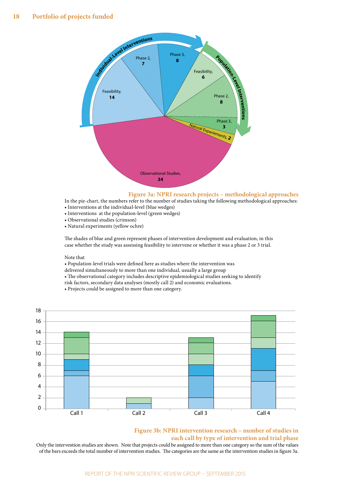![](_page_17_Figure_1.jpeg)

<span id="page-17-0"></span>![](_page_17_Figure_2.jpeg)

In the pie-chart, the numbers refer to the number of studies taking the following methodological approaches:

- Interventions at the individual-level (blue wedges)
- Interventions at the population-level (green wedges)
- Observational studies (crimson)
- Natural experiments (yellow ochre)

The shades of blue and green represent phases of intervention development and evaluation, in this case whether the study was assessing feasibility to intervene or whether it was a phase 2 or 3 trial.

#### Note that

• Population-level trials were defined here as studies where the intervention was

delivered simultaneously to more than one individual, usually a large group

• The observational category includes descriptive epidemiological studies seeking to identify

- risk factors, secondary data analyses (mostly call 2) and economic evaluations.
- Projects could be assigned to more than one category.

![](_page_17_Figure_15.jpeg)

#### <span id="page-17-1"></span>**Figure 3b: NPRI intervention research – number of studies in each call by type of intervention and trial phase**

Only the intervention studies are shown. Note that projects could be assigned to more than one category so the sum of the values of the bars exceeds the total number of intervention studies. The categories are the same as the intervention studies in figure 3a.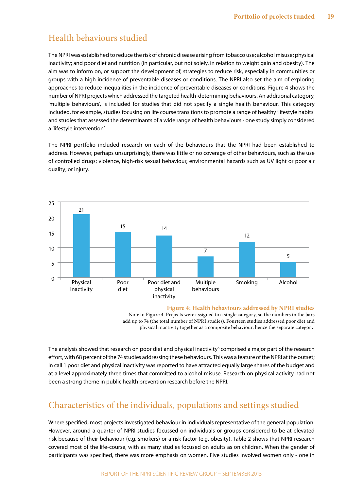### Health behaviours studied

The NPRI was established to reduce the risk of chronic disease arising from tobacco use; alcohol misuse; physical inactivity; and poor diet and nutrition (in particular, but not solely, in relation to weight gain and obesity). The aim was to inform on, or support the development of, strategies to reduce risk, especially in communities or groups with a high incidence of preventable diseases or conditions. The NPRI also set the aim of exploring approaches to reduce inequalities in the incidence of preventable diseases or conditions. Figure 4 shows the number of NPRI projects which addressed the targeted health-determining behaviours. An additional category, 'multiple behaviours', is included for studies that did not specify a single health behaviour. This category included, for example, studies focusing on life course transitions to promote a range of healthy 'lifestyle habits' and studies that assessed the determinants of a wide range of health behaviours - one study simply considered a 'lifestyle intervention'.

The NPRI portfolio included research on each of the behaviours that the NPRI had been established to address. However, perhaps unsurprisingly, there was little or no coverage of other behaviours, such as the use of controlled drugs; violence, high-risk sexual behaviour, environmental hazards such as UV light or poor air quality; or injury.

![](_page_18_Figure_4.jpeg)

#### <span id="page-18-0"></span>**Figure 4: Health behaviours addressed by NPRI studies**

Note to Figure 4. Projects were assigned to a single category, so the numbers in the bars add up to 74 (the total number of NPRI studies). Fourteen studies addressed poor diet and physical inactivity together as a composite behaviour, hence the separate category.

The analysis showed that research on poor diet and physical inactivity<sup>[6](#page-41-6)</sup> comprised a major part of the research effort, with 68 percent of the 74 studies addressing these behaviours. This was a feature of the NPRI at the outset; in call 1 poor diet and physical inactivity was reported to have attracted equally large shares of the budget and at a level approximately three times that committed to alcohol misuse. Research on physical activity had not been a strong theme in public health prevention research before the NPRI.

### Characteristics of the individuals, populations and settings studied

Where specified, most projects investigated behaviour in individuals representative of the general population. However, around a quarter of NPRI studies focussed on individuals or groups considered to be at elevated risk because of their behaviour (e.g. smokers) or a risk factor (e.g. obesity). Table 2 shows that NPRI research covered most of the life-course, with as many studies focused on adults as on children. When the gender of participants was specified, there was more emphasis on women. Five studies involved women only - one in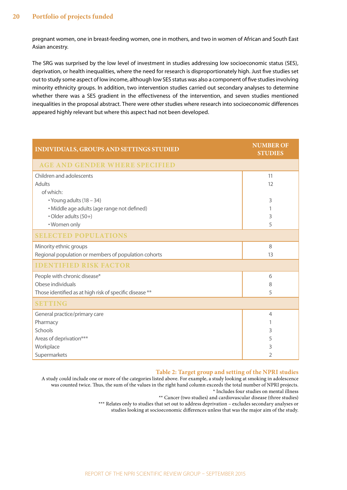pregnant women, one in breast-feeding women, one in mothers, and two in women of African and South East Asian ancestry.

The SRG was surprised by the low level of investment in studies addressing low socioeconomic status (SES), deprivation, or health inequalities, where the need for research is disproportionately high. Just five studies set out to study some aspect of low income, although low SES status was also a component of five studies involving minority ethnicity groups. In addition, two intervention studies carried out secondary analyses to determine whether there was a SES gradient in the effectiveness of the intervention, and seven studies mentioned inequalities in the proposal abstract. There were other studies where research into socioeconomic differences appeared highly relevant but where this aspect had not been developed.

| <b>INDIVIDUALS, GROUPS AND SETTINGS STUDIED</b>         | <b>NUMBER OF</b><br><b>STUDIES</b> |
|---------------------------------------------------------|------------------------------------|
| <b>AGE AND GENDER WHERE SPECIFIED</b>                   |                                    |
| Children and adolescents                                | 11                                 |
| <b>Adults</b>                                           | 12                                 |
| of which:                                               |                                    |
| • Young adults (18 - 34)                                | 3                                  |
| · Middle age adults (age range not defined)             |                                    |
| • Older adults (50+)                                    | 3                                  |
| • Women only                                            | 5                                  |
| <b>SELECTED POPULATIONS</b>                             |                                    |
| Minority ethnic groups                                  | 8                                  |
| Regional population or members of population cohorts    | 13                                 |
| <b>IDENTIFIED RISK FACTOR</b>                           |                                    |
| People with chronic disease*                            | 6                                  |
| Obese individuals                                       | 8                                  |
| Those identified as at high risk of specific disease ** | 5                                  |
| <b>SETTING</b>                                          |                                    |
| General practice/primary care                           | $\overline{4}$                     |
| Pharmacy                                                |                                    |
| Schools                                                 | 3                                  |
| Areas of deprivation***                                 | 5                                  |
| Workplace                                               | 3                                  |
| Supermarkets                                            | 2                                  |

#### <span id="page-19-0"></span>**Table 2: Target group and setting of the NPRI studies**

A study could include one or more of the categories listed above. For example, a study looking at smoking in adolescence was counted twice. Thus, the sum of the values in the right hand column exceeds the total number of NPRI projects. \* Includes four studies on mental illness

\*\* Cancer (two studies) and cardiovascular disease (three studies)

\*\*\* Relates only to studies that set out to address deprivation - excludes secondary analyses or

studies looking at socioeconomic differences unless that was the major aim of the study.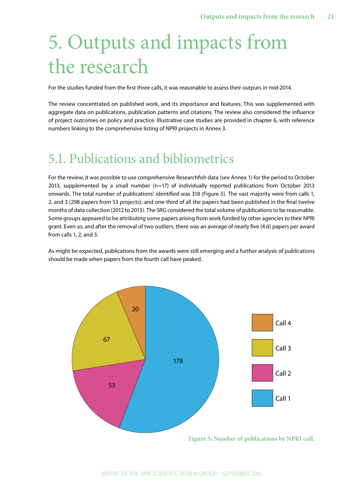# <span id="page-20-0"></span>5. Outputs and impacts from the research

For the studies funded from the first three calls, it was reasonable to assess their outputs in mid-2014.

The review concentrated on published work, and its importance and features. This was supplemented with aggregate data on publications, publication patterns and citations. The review also considered the influence of project outcomes on policy and practice. Illustrative case studies are provided in chapter 6, with reference numbers linking to the comprehensive listing of NPRI projects in Annex 3.

### 5.1. Publications and bibliometrics

For the review, it was possible to use comprehensive Researchfish data (see Annex 1) for the period to October 2013, supplemented by a small number (n=17) of individually reported publications from October 2013 onwards. The total number of publications<sup>7</sup> identified was 318 (Figure 5). The vast majority were from calls 1, 2, and 3 (298 papers from 53 projects); and one-third of all the papers had been published in the final twelve months of data collection (2012 to 2013). The SRG considered the total volume of publications to be reasonable. Some groups appeared to be attributing some papers arising from work funded by other agencies to their NPRI grant. Even so, and after the removal of two outliers, there was an average of nearly five (4.6) papers per award from calls 1, 2, and 3.

As might be expected, publications from the awards were still emerging and a further analysis of publications should be made when papers from the fourth call have peaked.

![](_page_20_Figure_7.jpeg)

<span id="page-20-1"></span>REPORT OF THE NPRI SCIENTIFIC REVIEW GROUP – SEPTEMBER 2015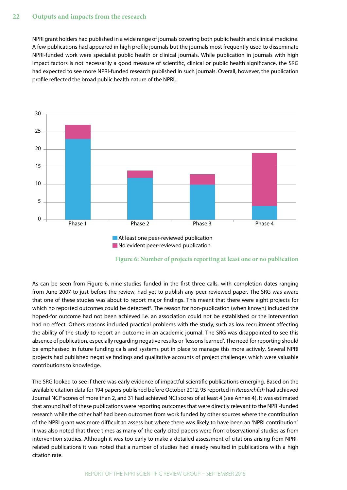NPRI grant holders had published in a wide range of journals covering both public health and clinical medicine. A few publications had appeared in high profile journals but the journals most frequently used to disseminate NPRI-funded work were specialist public health or clinical journals. While publication in journals with high impact factors is not necessarily a good measure of scientific, clinical or public health significance, the SRG had expected to see more NPRI-funded research published in such journals. Overall, however, the publication profile reflected the broad public health nature of the NPRI.

![](_page_21_Figure_2.jpeg)

<span id="page-21-0"></span>![](_page_21_Figure_3.jpeg)

As can be seen from Figure 6, nine studies funded in the first three calls, with completion dates ranging from June 2007 to just before the review, had yet to publish any peer reviewed paper. The SRG was aware that one of these studies was about to report major findings. This meant that there were eight projects for which no reported outcomes could be detected<sup>s</sup>. The reason for non-publication (when known) included the hoped-for outcome had not been achieved i.e. an association could not be established or the intervention had no effect. Others reasons included practical problems with the study, such as low recruitment affecting the ability of the study to report an outcome in an academic journal. The SRG was disappointed to see this absence of publication, especially regarding negative results or 'lessons learned'. The need for reporting should be emphasised in future funding calls and systems put in place to manage this more actively. Several NPRI projects had published negative findings and qualitative accounts of project challenges which were valuable contributions to knowledge.

The SRG looked to see if there was early evidence of impactful scientific publications emerging. Based on the available citation data for 194 papers published before October 2012, 95 reported in *Researchfish* had achieved Journal NCI<sup>[9](#page-41-9)</sup> scores of more than 2, and 31 had achieved NCI scores of at least 4 (see Annex 4). It was estimated that around half of these publications were reporting outcomes that were directly relevant to the NPRI-funded research while the other half had been outcomes from work funded by other sources where the contribution of the NPRI grant was more difficult to assess but where there was likely to have been an 'NPRI contribution'. It was also noted that three times as many of the early cited papers were from observational studies as from intervention studies. Although it was too early to make a detailed assessment of citations arising from NPRIrelated publications it was noted that a number of studies had already resulted in publications with a high citation rate.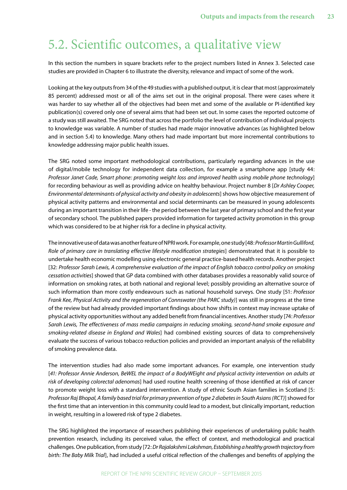### <span id="page-22-0"></span>5.2. Scientific outcomes, a qualitative view

In this section the numbers in square brackets refer to the project numbers listed in Annex 3. Selected case studies are provided in Chapter 6 to illustrate the diversity, relevance and impact of some of the work.

Looking at the key outputs from 34 of the 49 studies with a published output, it is clear that most (approximately 85 percent) addressed most or all of the aims set out in the original proposal. There were cases where it was harder to say whether all of the objectives had been met and some of the available or PI-identified key publication(s) covered only one of several aims that had been set out. In some cases the reported outcome of a study was still awaited. The SRG noted that across the portfolio the level of contribution of individual projects to knowledge was variable. A number of studies had made major innovative advances (as highlighted below and in section 5.4) to knowledge. Many others had made important but more incremental contributions to knowledge addressing major public health issues.

The SRG noted some important methodological contributions, particularly regarding advances in the use of digital/mobile technology for independent data collection, for example a smartphone app [study 44: *Professor Janet Cade, Smart phone: promoting weight loss and improved health using mobile phone technology*] for recording behaviour as well as providing advice on healthy behaviour. Project number 8 [*Dr Ashley Cooper, Environmental determinants of physical activity and obesity in adolescents*] shows how objective measurement of physical activity patterns and environmental and social determinants can be measured in young adolescents during an important transition in their life - the period between the last year of primary school and the first year of secondary school. The published papers provided information for targeted activity promotion in this group which was considered to be at higher risk for a decline in physical activity.

The innovative use of data was another feature of NPRI work. For example, one study [48: *Professor Martin Gulliford, Role of primary care in translating effective lifestyle modification strategies*] demonstrated that it is possible to undertake health economic modelling using electronic general practice-based health records. Another project [32: *Professor Sarah Lewis, A comprehensive evaluation of the impact of English tobacco control policy on smoking cessation activities*] showed that GP data combined with other databases provides a reasonably valid source of information on smoking rates, at both national and regional level; possibly providing an alternative source of such information than more costly endeavours such as national household surveys. One study [51: *Professor Frank Kee, Physical Activity and the regeneration of Connswater (the PARC study)*] was still in progress at the time of the review but had already provided important findings about how shifts in context may increase uptake of physical activity opportunities without any added benefit from financial incentives. Another study [74: *Professor Sarah Lewis, The effectiveness of mass media campaigns in reducing smoking, second-hand smoke exposure and smoking-related disease in England and Wales*] had combined existing sources of data to comprehensively evaluate the success of various tobacco reduction policies and provided an important analysis of the reliability of smoking prevalence data.

The intervention studies had also made some important advances. For example, one intervention study [*41: Professor Annie Anderson, BeWEL the impact of a BodyWEight and physical activity intervention on adults at risk of developing colorectal adenomas*] had used routine health screening of those identified at risk of cancer to promote weight loss with a standard intervention. A study of ethnic South Asian families in Scotland [5: *Professor Raj Bhopal, A family based trial for primary prevention of type 2 diabetes in South Asians (RCT)*] showed for the first time that an intervention in this community could lead to a modest, but clinically important, reduction in weight, resulting in a lowered risk of type 2 diabetes.

The SRG highlighted the importance of researchers publishing their experiences of undertaking public health prevention research, including its perceived value, the effect of context, and methodological and practical challenges. One publication, from study [72: *Dr Rajalakshmi Lakshman, Establishing a healthy growth trajectory from birth: The Baby Milk Trial*], had included a useful critical reflection of the challenges and benefits of applying the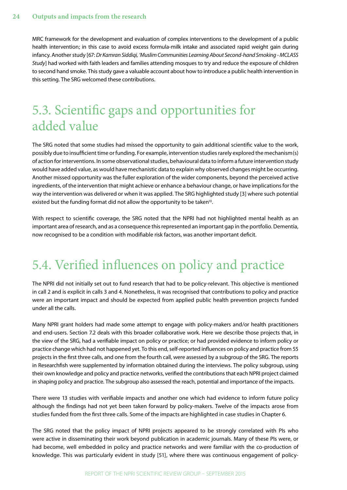<span id="page-23-0"></span>MRC framework for the development and evaluation of complex interventions to the development of a public health intervention; in this case to avoid excess formula-milk intake and associated rapid weight gain during infancy. Another study [67: *Dr Kamran Siddiqi, 'Muslim Communities Learning About Second-hand Smoking - MCLASS Study*] had worked with faith leaders and families attending mosques to try and reduce the exposure of children to second hand smoke. This study gave a valuable account about how to introduce a public health intervention in this setting. The SRG welcomed these contributions.

# 5.3. Scientific gaps and opportunities for added value

The SRG noted that some studies had missed the opportunity to gain additional scientific value to the work, possibly due to insufficient time or funding. For example, intervention studies rarely explored the mechanism(s) of action for interventions. In some observational studies, behavioural data to inform a future intervention study would have added value, as would have mechanistic data to explain why observed changes might be occurring. Another missed opportunity was the fuller exploration of the wider components, beyond the perceived active ingredients, of the intervention that might achieve or enhance a behaviour change, or have implications for the way the intervention was delivered or when it was applied. The SRG highlighted study [3] where such potential existed but the funding format did not allow the opportunity to be taken<sup>10</sup>.

With respect to scientific coverage, the SRG noted that the NPRI had not highlighted mental health as an important area of research, and as a consequence this represented an important gap in the portfolio. Dementia, now recognised to be a condition with modifiable risk factors, was another important deficit.

# 5.4. Verified influences on policy and practice

The NPRI did not initially set out to fund research that had to be policy-relevant. This objective is mentioned in call 2 and is explicit in calls 3 and 4. Nonetheless, it was recognised that contributions to policy and practice were an important impact and should be expected from applied public health prevention projects funded under all the calls.

Many NPRI grant holders had made some attempt to engage with policy-makers and/or health practitioners and end-users. Section 7.2 deals with this broader collaborative work. Here we describe those projects that, in the view of the SRG, had a verifiable impact on policy or practice; or had provided evidence to inform policy or practice change which had not happened yet. To this end, self-reported influences on policy and practice from 55 projects in the first three calls, and one from the fourth call, were assessed by a subgroup of the SRG. The reports in Researchfish were supplemented by information obtained during the interviews. The policy subgroup, using their own knowledge and policy and practice networks, verified the contributions that each NPRI project claimed in shaping policy and practice. The subgroup also assessed the reach, potential and importance of the impacts.

There were 13 studies with verifiable impacts and another one which had evidence to inform future policy although the findings had not yet been taken forward by policy-makers. Twelve of the impacts arose from studies funded from the first three calls. Some of the impacts are highlighted in case studies in Chapter 6.

The SRG noted that the policy impact of NPRI projects appeared to be strongly correlated with PIs who were active in disseminating their work beyond publication in academic journals. Many of these PIs were, or had become, well embedded in policy and practice networks and were familiar with the co-production of knowledge. This was particularly evident in study [51], where there was continuous engagement of policy-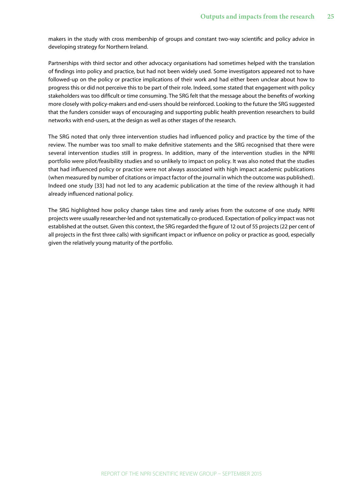makers in the study with cross membership of groups and constant two-way scientific and policy advice in developing strategy for Northern Ireland.

Partnerships with third sector and other advocacy organisations had sometimes helped with the translation of findings into policy and practice, but had not been widely used. Some investigators appeared not to have followed-up on the policy or practice implications of their work and had either been unclear about how to progress this or did not perceive this to be part of their role. Indeed, some stated that engagement with policy stakeholders was too difficult or time consuming. The SRG felt that the message about the benefits of working more closely with policy-makers and end-users should be reinforced. Looking to the future the SRG suggested that the funders consider ways of encouraging and supporting public health prevention researchers to build networks with end-users, at the design as well as other stages of the research.

The SRG noted that only three intervention studies had influenced policy and practice by the time of the review. The number was too small to make definitive statements and the SRG recognised that there were several intervention studies still in progress. In addition, many of the intervention studies in the NPRI portfolio were pilot/feasibility studies and so unlikely to impact on policy. It was also noted that the studies that had influenced policy or practice were not always associated with high impact academic publications (when measured by number of citations or impact factor of the journal in which the outcome was published). Indeed one study [33] had not led to any academic publication at the time of the review although it had already influenced national policy.

The SRG highlighted how policy change takes time and rarely arises from the outcome of one study. NPRI projects were usually researcher-led and not systematically co-produced. Expectation of policy impact was not established at the outset. Given this context, the SRG regarded the figure of 12 out of 55 projects (22 per cent of all projects in the first three calls) with significant impact or influence on policy or practice as good, especially given the relatively young maturity of the portfolio.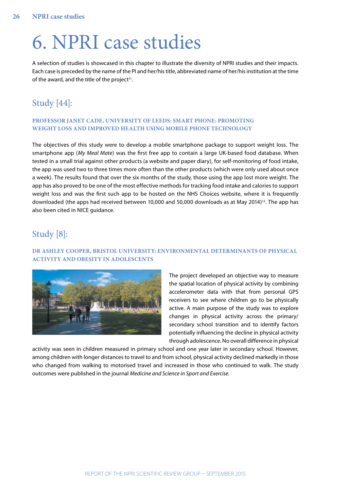# <span id="page-25-0"></span>6. NPRI case studies

A selection of studies is showcased in this chapter to illustrate the diversity of NPRI studies and their impacts. Each case is preceded by the name of the PI and her/his title, abbreviated name of her/his institution at the time of the award, and the title of the project $11$ .

### Study [44]:

#### **PROFESSOR JANET CADE, UNIVERSITY OF LEEDS: SMART PHONE: PROMOTING WEIGHT LOSS AND IMPROVED HEALTH USING MOBILE PHONE TECHNOLOGY**

The objectives of this study were to develop a mobile smartphone package to support weight loss. The smartphone app (*My Meal Mate*) was the first free app to contain a large UK-based food database. When tested in a small trial against other products (a website and paper diary), for self-monitoring of food intake, the app was used two to three times more often than the other products (which were only used about once a week). The results found that over the six months of the study, those using the app lost more weight. The app has also proved to be one of the most effective methods for tracking food intake and calories to support weight loss and was the first such app to be hosted on the NHS Choices website, where it is frequently downloaded (the apps had received between 10,000 and 50,000 downloads as at May 2014)<sup>12</sup>. The app has also been cited in NICE guidance.

### Study [8]:

#### **DR ASHLEY COOPER, BRISTOL UNIVERSITY: ENVIRONMENTAL DETERMINANTS OF PHYSICAL ACTIVITY AND OBESITY IN ADOLESCENTS**

![](_page_25_Picture_8.jpeg)

The project developed an objective way to measure the spatial location of physical activity by combining accelerometer data with that from personal GPS receivers to see where children go to be physically active. A main purpose of the study was to explore changes in physical activity across the primary/ secondary school transition and to identify factors potentially influencing the decline in physical activity through adolescence. No overall difference in physical

activity was seen in children measured in primary school and one year later in secondary school. However, among children with longer distances to travel to and from school, physical activity declined markedly in those who changed from walking to motorised travel and increased in those who continued to walk. The study outcomes were published in the journal *Medicine and Science in Sport and Exercise*.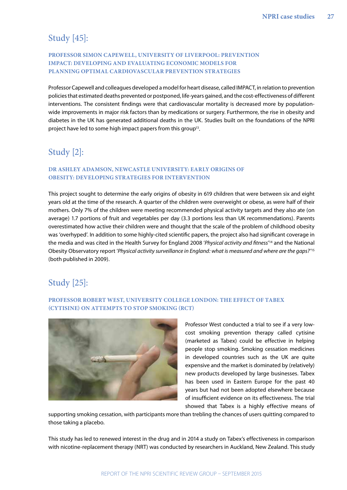### Study [45]:

#### **PROFESSOR SIMON CAPEWELL, UNIVERSITY OF LIVERPOOL: PREVENTION IMPACT: DEVELOPING AND EVALUATING ECONOMIC MODELS FOR PLANNING OPTIMAL CARDIOVASCULAR PREVENTION STRATEGIES**

Professor Capewell and colleagues developed a model for heart disease, called IMPACT, in relation to prevention policies that estimated deaths prevented or postponed, life-years gained, and the cost-effectiveness of different interventions. The consistent findings were that cardiovascular mortality is decreased more by populationwide improvements in major risk factors than by medications or surgery. Furthermore, the rise in obesity and diabetes in the UK has generated additional deaths in the UK. Studies built on the foundations of the NPRI project have led to some high impact papers from this group<sup>13</sup>.

### Study [2]:

#### **DR ASHLEY ADAMSON, NEWCASTLE UNIVERSITY: EARLY ORIGINS OF OBESITY: DEVELOPING STRATEGIES FOR INTERVENTION**

This project sought to determine the early origins of obesity in 619 children that were between six and eight years old at the time of the research. A quarter of the children were overweight or obese, as were half of their mothers. Only 7% of the children were meeting recommended physical activity targets and they also ate (on average) 1.7 portions of fruit and vegetables per day (3.3 portions less than UK recommendations). Parents overestimated how active their children were and thought that the scale of the problem of childhood obesity was 'overhyped'. In addition to some highly-cited scientific papers, the project also had significant coverage in the media and was cited in the Health Survey for England 2008 '*Physical activity and fitness*' [14](#page-41-14) and the National Obesity Observatory report '*Physical activity surveillance in England: what is measured and where are the gaps?*' [15](#page-41-15) (both published in 2009).

### Study [25]:

#### **PROFESSOR ROBERT WEST, UNIVERSITY COLLEGE LONDON: THE EFFECT OF TABEX (CYTISINE) ON ATTEMPTS TO STOP SMOKING (RCT)**

![](_page_26_Picture_9.jpeg)

Professor West conducted a trial to see if a very lowcost smoking prevention therapy called cytisine (marketed as Tabex) could be effective in helping people stop smoking. Smoking cessation medicines in developed countries such as the UK are quite expensive and the market is dominated by (relatively) new products developed by large businesses. Tabex has been used in Eastern Europe for the past 40 years but had not been adopted elsewhere because of insufficient evidence on its effectiveness. The trial showed that Tabex is a highly effective means of

supporting smoking cessation, with participants more than trebling the chances of users quitting compared to those taking a placebo.

This study has led to renewed interest in the drug and in 2014 a study on Tabex's effectiveness in comparison with nicotine-replacement therapy (NRT) was conducted by researchers in Auckland, New Zealand. This study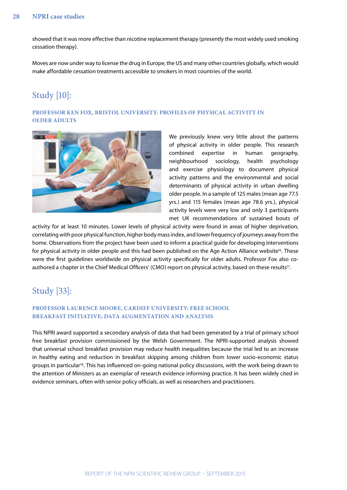#### **28 NPRI case studies**

showed that it was more effective than nicotine replacement therapy (presently the most widely used smoking cessation therapy).

Moves are now under way to license the drug in Europe, the US and many other countries globally, which would make affordable cessation treatments accessible to smokers in most countries of the world.

### Study [10]:

#### **PROFESSOR KEN FOX, BRISTOL UNIVERSITY: PROFILES OF PHYSICAL ACTIVITY IN OLDER ADULTS**

![](_page_27_Picture_5.jpeg)

We previously knew very little about the patterns of physical activity in older people. This research combined expertise in human geography, neighbourhood sociology, health psychology and exercise physiology to document physical activity patterns and the environmental and social determinants of physical activity in urban dwelling older people. In a sample of 125 males (mean age 77.5 yrs.) and 115 females (mean age 78.6 yrs.), physical activity levels were very low and only 3 participants met UK recommendations of sustained bouts of

activity for at least 10 minutes. Lower levels of physical activity were found in areas of higher deprivation, correlating with poor physical function, higher body mass index, and lower frequency of journeys away from the home. Observations from the project have been used to inform a practical guide for developing interventions for physical activity in older people and this had been published on the Age Action Alliance website<sup>16</sup>. These were the first guidelines worldwide on physical activity specifically for older adults. Professor Fox also coauthored a chapter in the Chief Medical Officers' (CMO) report on physical activity, based on these results<sup>17</sup>.

### Study [33]:

#### **PROFESSOR LAURENCE MOORE, CARDIFF UNIVERSITY: FREE SCHOOL BREAKFAST INITIATIVE; DATA AUGMENTATION AND ANALYSIS**

This NPRI award supported a secondary analysis of data that had been generated by a trial of primary school free breakfast provision commissioned by the Welsh Government. The NPRI-supported analysis showed that universal school breakfast provision may reduce health inequalities because the trial led to an increase in healthy eating and reduction in breakfast skipping among children from lower socio-economic status groups in particular<sup>18</sup>. This has influenced on-going national policy discussions, with the work being drawn to the attention of Ministers as an exemplar of research evidence informing practice. It has been widely cited in evidence seminars, often with senior policy officials, as well as researchers and practitioners.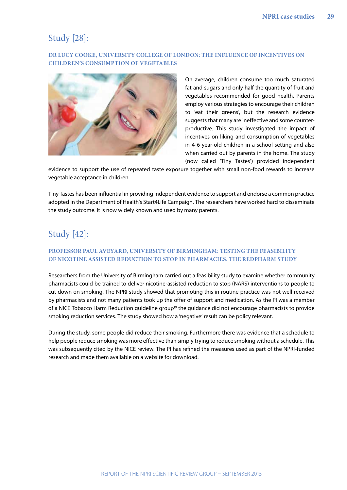### Study [28]:

#### **DR LUCY COOKE, UNIVERSITY COLLEGE OF LONDON: THE INFLUENCE OF INCENTIVES ON CHILDREN'S CONSUMPTION OF VEGETABLES**

![](_page_28_Picture_3.jpeg)

On average, children consume too much saturated fat and sugars and only half the quantity of fruit and vegetables recommended for good health. Parents employ various strategies to encourage their children to 'eat their greens', but the research evidence suggests that many are ineffective and some counterproductive. This study investigated the impact of incentives on liking and consumption of vegetables in 4-6 year-old children in a school setting and also when carried out by parents in the home. The study (now called 'Tiny Tastes') provided independent

evidence to support the use of repeated taste exposure together with small non-food rewards to increase vegetable acceptance in children.

Tiny Tastes has been influential in providing independent evidence to support and endorse a common practice adopted in the Department of Health's Start4Life Campaign. The researchers have worked hard to disseminate the study outcome. It is now widely known and used by many parents.

### Study [42]:

#### **PROFESSOR PAUL AVEYARD, UNIVERSITY OF BIRMINGHAM: TESTING THE FEASIBILITY OF NICOTINE ASSISTED REDUCTION TO STOP IN PHARMACIES. THE REDPHARM STUDY**

Researchers from the University of Birmingham carried out a feasibility study to examine whether community pharmacists could be trained to deliver nicotine-assisted reduction to stop (NARS) interventions to people to cut down on smoking. The NPRI study showed that promoting this in routine practice was not well received by pharmacists and not many patients took up the offer of support and medication. As the PI was a member of a NICE Tobacco Harm Reduction guideline group<sup>19</sup> the guidance did not encourage pharmacists to provide smoking reduction services. The study showed how a 'negative' result can be policy relevant.

During the study, some people did reduce their smoking. Furthermore there was evidence that a schedule to help people reduce smoking was more effective than simply trying to reduce smoking without a schedule. This was subsequently cited by the NICE review. The PI has refined the measures used as part of the NPRI-funded research and made them available on a website for download.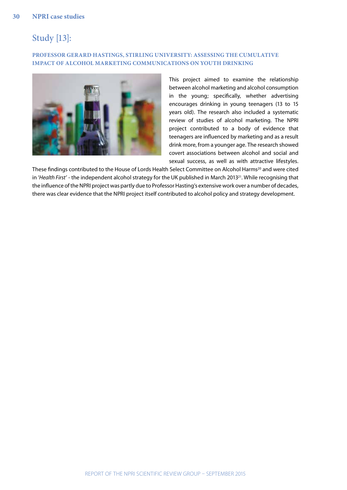### Study [13]:

#### **PROFESSOR GERARD HASTINGS, STIRLING UNIVERSITY: ASSESSING THE CUMULATIVE IMPACT OF ALCOHOL MARKETING COMMUNICATIONS ON YOUTH DRINKING**

![](_page_29_Picture_3.jpeg)

This project aimed to examine the relationship between alcohol marketing and alcohol consumption in the young; specifically, whether advertising encourages drinking in young teenagers (13 to 15 years old). The research also included a systematic review of studies of alcohol marketing. The NPRI project contributed to a body of evidence that teenagers are influenced by marketing and as a result drink more, from a younger age. The research showed covert associations between alcohol and social and sexual success, as well as with attractive lifestyles.

These findings contributed to the House of Lords Health Select Committee on Alcohol Harms<sup>20</sup> and were cited in '*Health First*' - the independent alcohol strategy for the UK published in March 2013[21](#page-41-21). While recognising that the influence of the NPRI project was partly due to Professor Hasting's extensive work over a number of decades, there was clear evidence that the NPRI project itself contributed to alcohol policy and strategy development.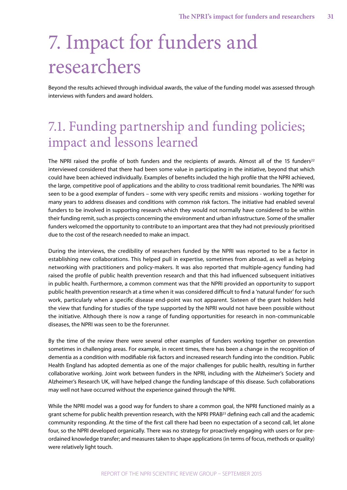# <span id="page-30-0"></span>7. Impact for funders and researchers

Beyond the results achieved through individual awards, the value of the funding model was assessed through interviews with funders and award holders.

# 7.1. Funding partnership and funding policies; impact and lessons learned

The NPRI raised the profile of both funders and the recipients of awards. Almost all of the 15 funders<sup>[22](#page-41-22)</sup> interviewed considered that there had been some value in participating in the initiative, beyond that which could have been achieved individually. Examples of benefits included the high profile that the NPRI achieved, the large, competitive pool of applications and the ability to cross traditional remit boundaries. The NPRI was seen to be a good exemplar of funders – some with very specific remits and missions - working together for many years to address diseases and conditions with common risk factors. The initiative had enabled several funders to be involved in supporting research which they would not normally have considered to be within their funding remit, such as projects concerning the environment and urban infrastructure. Some of the smaller funders welcomed the opportunity to contribute to an important area that they had not previously prioritised due to the cost of the research needed to make an impact.

During the interviews, the credibility of researchers funded by the NPRI was reported to be a factor in establishing new collaborations. This helped pull in expertise, sometimes from abroad, as well as helping networking with practitioners and policy-makers. It was also reported that multiple-agency funding had raised the profile of public health prevention research and that this had influenced subsequent initiatives in public health. Furthermore, a common comment was that the NPRI provided an opportunity to support public health prevention research at a time when it was considered difficult to find a 'natural funder' for such work, particularly when a specific disease end-point was not apparent. Sixteen of the grant holders held the view that funding for studies of the type supported by the NPRI would not have been possible without the initiative. Although there is now a range of funding opportunities for research in non-communicable diseases, the NPRI was seen to be the forerunner.

By the time of the review there were several other examples of funders working together on prevention sometimes in challenging areas. For example, in recent times, there has been a change in the recognition of dementia as a condition with modifiable risk factors and increased research funding into the condition. Public Health England has adopted dementia as one of the major challenges for public health, resulting in further collaborative working. Joint work between funders in the NPRI, including with the Alzheimer's Society and Alzheimer's Research UK, will have helped change the funding landscape of this disease. Such collaborations may well not have occurred without the experience gained through the NPRI.

While the NPRI model was a good way for funders to share a common goal, the NPRI functioned mainly as a grant scheme for public health prevention research, with the NPRI PRAB<sup>23</sup> defining each call and the academic community responding. At the time of the first call there had been no expectation of a second call, let alone four, so the NPRI developed organically. There was no strategy for proactively engaging with users or for preordained knowledge transfer; and measures taken to shape applications (in terms of focus, methods or quality) were relatively light touch.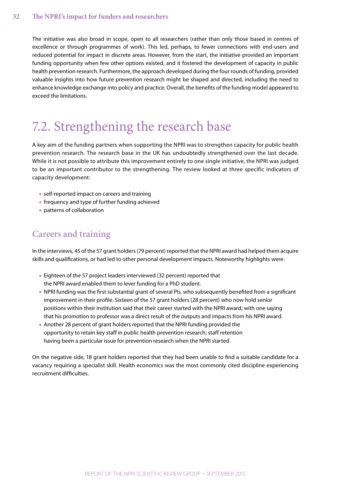<span id="page-31-0"></span>The initiative was also broad in scope, open to all researchers (rather than only those based in centres of excellence or through programmes of work). This led, perhaps, to fewer connections with end-users and reduced potential for impact in discrete areas. However, from the start, the initiative provided an important funding opportunity when few other options existed, and it fostered the development of capacity in public health prevention research. Furthermore, the approach developed during the four rounds of funding, provided valuable insights into how future prevention research might be shaped and directed, including the need to enhance knowledge exchange into policy and practice. Overall, the benefits of the funding model appeared to exceed the limitations.

# 7.2. Strengthening the research base

A key aim of the funding partners when supporting the NPRI was to strengthen capacity for public health prevention research. The research base in the UK has undoubtedly strengthened over the last decade. While it is not possible to attribute this improvement entirely to one single initiative, the NPRI was judged to be an important contributor to the strengthening. The review looked at three specific indicators of capacity development:

- **•** self-reported impact on careers and training
- **•** frequency and type of further funding achieved
- **•** patterns of collaboration

### Careers and training

In the interviews, 45 of the 57 grant holders (79 percent) reported that the NPRI award had helped them acquire skills and qualifications, or had led to other personal development impacts. Noteworthy highlights were:

- **•** Eighteen of the 57 project leaders interviewed (32 percent) reported that the NPRI award enabled them to lever funding for a PhD student.
- **•** NPRI funding was the first substantial grant of several PIs, who subsequently benefited from a significant improvement in their profile. Sixteen of the 57 grant holders (28 percent) who now hold senior positions within their institution said that their career started with the NPRI award; with one saying that his promotion to professor was a direct result of the outputs and impacts from his NPRI award.
- **•** Another 28 percent of grant holders reported that the NPRI funding provided the opportunity to retain key staff in public health prevention research; staff retention having been a particular issue for prevention research when the NPRI started.

On the negative side, 18 grant holders reported that they had been unable to find a suitable candidate for a vacancy requiring a specialist skill. Health economics was the most commonly cited discipline experiencing recruitment difficulties.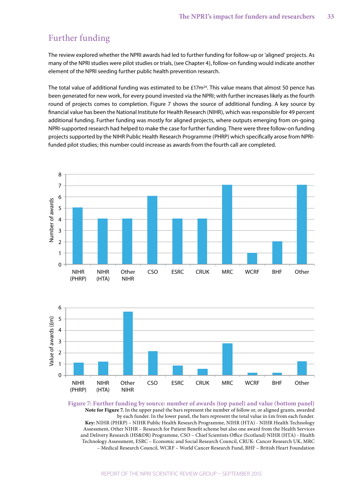### Further funding

The review explored whether the NPRI awards had led to further funding for follow-up or 'aligned' projects. As many of the NPRI studies were pilot studies or trials, (see Chapter 4), follow-on funding would indicate another element of the NPRI seeding further public health prevention research.

The total value of additional funding was estimated to be  $£17m<sup>24</sup>$ . This value means that almost 50 pence has been generated for new work, for every pound invested via the NPRI; with further increases likely as the fourth round of projects comes to completion. Figure 7 shows the source of additional funding. A key source by financial value has been the National Institute for Health Research (NIHR), which was responsible for 49 percent additional funding. Further funding was mostly for aligned projects, where outputs emerging from on-going NPRI-supported research had helped to make the case for further funding. There were three follow-on funding projects supported by the NIHR Public Health Research Programme (PHRP) which specifically arose from NPRIfunded pilot studies; this number could increase as awards from the fourth call are completed.

![](_page_32_Figure_4.jpeg)

![](_page_32_Figure_5.jpeg)

<span id="page-32-0"></span>**Figure 7: Further funding by source: number of awards (top panel) and value (bottom panel) Note for Figure 7.** In the upper panel the bars represent the number of follow or, or aligned grants, awarded by each funder. In the lower panel, the bars represent the total value in  $\epsilon$ m from each funder. **Key:** NIHR (PHRP) – NIHR Public Health Research Programme, NIHR (HTA) - NIHR Health Technology Assessment, Other NIHR – Research for Patient Benefit scheme but also one award from the Health Services and Delivery Research (HS&DR) Programme, CSO – Chief Scientists Office (Scotland) NIHR (HTA) - Health Technology Assessment, ESRC – Economic and Social Research Council, CRUK- Cancer Research UK, MRC – Medical Research Council, WCRF – World Cancer Research Fund, BHF – British Heart Foundation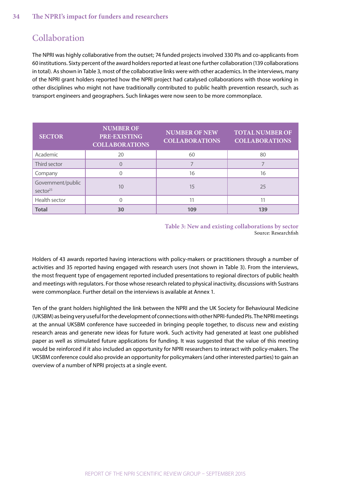### Collaboration

The NPRI was highly collaborative from the outset; 74 funded projects involved 330 PIs and co-applicants from 60 institutions. Sixty percent of the award holders reported at least one further collaboration (139 collaborations in total). As shown in Table 3, most of the collaborative links were with other academics. In the interviews, many of the NPRI grant holders reported how the NPRI project had catalysed collaborations with those working in other disciplines who might not have traditionally contributed to public health prevention research, such as transport engineers and geographers. Such linkages were now seen to be more commonplace.

| <b>SECTOR</b>                    | <b>NUMBER OF</b><br>PRE-EXISTING<br><b>COLLABORATIONS</b> | <b>NUMBER OF NEW</b><br><b>COLLABORATIONS</b> | <b>TOTAL NUMBER OF</b><br><b>COLLABORATIONS</b> |
|----------------------------------|-----------------------------------------------------------|-----------------------------------------------|-------------------------------------------------|
| Academic                         | 20                                                        | 60                                            | 80                                              |
| Third sector                     | $\Omega$                                                  |                                               |                                                 |
| Company                          |                                                           | 16                                            | 16                                              |
| Government/public<br>sector $25$ | 10                                                        | 15                                            | 25                                              |
| Health sector                    |                                                           | 11                                            | 11                                              |
| <b>Total</b>                     | 30                                                        | 109                                           | 139                                             |

<span id="page-33-0"></span>**Table 3: New and existing collaborations by sector** Source: Researchfish

Holders of 43 awards reported having interactions with policy-makers or practitioners through a number of activities and 35 reported having engaged with research users (not shown in Table 3). From the interviews, the most frequent type of engagement reported included presentations to regional directors of public health and meetings with regulators. For those whose research related to physical inactivity, discussions with Sustrans were commonplace. Further detail on the interviews is available at Annex 1.

Ten of the grant holders highlighted the link between the NPRI and the UK Society for Behavioural Medicine (UKSBM) as being very useful for the development of connections with other NPRI-funded PIs. The NPRI meetings at the annual UKSBM conference have succeeded in bringing people together, to discuss new and existing research areas and generate new ideas for future work. Such activity had generated at least one published paper as well as stimulated future applications for funding. It was suggested that the value of this meeting would be reinforced if it also included an opportunity for NPRI researchers to interact with policy-makers. The UKSBM conference could also provide an opportunity for policymakers (and other interested parties) to gain an overview of a number of NPRI projects at a single event.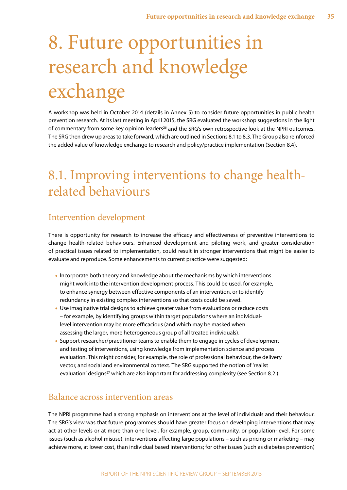# <span id="page-34-0"></span>8. Future opportunities in research and knowledge exchange

A workshop was held in October 2014 (details in Annex 5) to consider future opportunities in public health prevention research. At its last meeting in April 2015, the SRG evaluated the workshop suggestions in the light of commentary from some key opinion leaders<sup>26</sup> and the SRG's own retrospective look at the NPRI outcomes. The SRG then drew up areas to take forward, which are outlined in Sections 8.1 to 8.3. The Group also reinforced the added value of knowledge exchange to research and policy/practice implementation (Section 8.4).

## 8.1. Improving interventions to change healthrelated behaviours

### Intervention development

There is opportunity for research to increase the efficacy and effectiveness of preventive interventions to change health-related behaviours. Enhanced development and piloting work, and greater consideration of practical issues related to implementation, could result in stronger interventions that might be easier to evaluate and reproduce. Some enhancements to current practice were suggested:

- **•** Incorporate both theory and knowledge about the mechanisms by which interventions might work into the intervention development process. This could be used, for example, to enhance synergy between effective components of an intervention, or to identify redundancy in existing complex interventions so that costs could be saved.
- **•** Use imaginative trial designs to achieve greater value from evaluations or reduce costs – for example, by identifying groups within target populations where an individuallevel intervention may be more efficacious (and which may be masked when assessing the larger, more heterogeneous group of all treated individuals).
- **•** Support researcher/practitioner teams to enable them to engage in cycles of development and testing of interventions, using knowledge from implementation science and process evaluation. This might consider, for example, the role of professional behaviour, the delivery vector, and social and environmental context. The SRG supported the notion of 'realist evaluation' designs<sup>27</sup> which are also important for addressing complexity (see Section 8.2.).

### Balance across intervention areas

The NPRI programme had a strong emphasis on interventions at the level of individuals and their behaviour. The SRG's view was that future programmes should have greater focus on developing interventions that may act at other levels or at more than one level, for example, group, community, or population-level. For some issues (such as alcohol misuse), interventions affecting large populations – such as pricing or marketing – may achieve more, at lower cost, than individual based interventions; for other issues (such as diabetes prevention)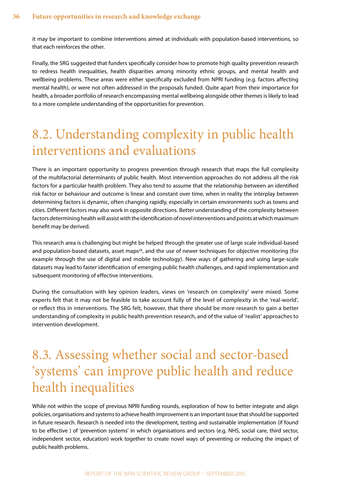<span id="page-35-0"></span>it may be important to combine interventions aimed at individuals with population-based interventions, so that each reinforces the other.

Finally, the SRG suggested that funders specifically consider how to promote high quality prevention research to redress health inequalities, health disparities among minority ethnic groups, and mental health and wellbeing problems. These areas were either specifically excluded from NPRI funding (e.g. factors affecting mental health), or were not often addressed in the proposals funded. Quite apart from their importance for health, a broader portfolio of research encompassing mental wellbeing alongside other themes is likely to lead to a more complete understanding of the opportunities for prevention.

# 8.2. Understanding complexity in public health interventions and evaluations

There is an important opportunity to progress prevention through research that maps the full complexity of the multifactorial determinants of public health. Most intervention approaches do not address all the risk factors for a particular health problem. They also tend to assume that the relationship between an identified risk factor or behaviour and outcome is linear and constant over time, when in reality the interplay between determining factors is dynamic, often changing rapidly, especially in certain environments such as towns and cities. Different factors may also work in opposite directions. Better understanding of the complexity between factors determining health will assist with the identification of novel interventions and points at which maximum benefit may be derived.

This research area is challenging but might be helped through the greater use of large scale individual-based and population-based datasets, asset maps<sup>28</sup>, and the use of newer techniques for objective monitoring (for example through the use of digital and mobile technology). New ways of gathering and using large-scale datasets may lead to faster identification of emerging public health challenges, and rapid implementation and subsequent monitoring of effective interventions.

During the consultation with key opinion leaders, views on 'research on complexity' were mixed. Some experts felt that it may not be feasible to take account fully of the level of complexity in the 'real-world', or reflect this in interventions. The SRG felt, however, that there should be more research to gain a better understanding of complexity in public health prevention research, and of the value of 'realist' approaches to intervention development.

# 8.3. Assessing whether social and sector-based 'systems' can improve public health and reduce health inequalities

While not within the scope of previous NPRI funding rounds, exploration of how to better integrate and align policies, organisations and systems to achieve health improvement is an important issue that should be supported in future research. Research is needed into the development, testing and sustainable implementation (if found to be effective ) of 'prevention systems' in which organisations and sectors (e.g. NHS, social care, third sector, independent sector, education) work together to create novel ways of preventing or reducing the impact of public health problems.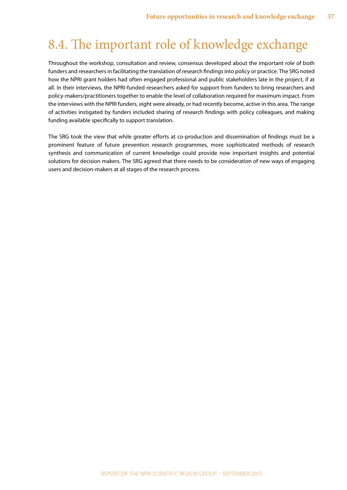# <span id="page-36-0"></span>8.4. The important role of knowledge exchange

Throughout the workshop, consultation and review, consensus developed about the important role of both funders and researchers in facilitating the translation of research findings into policy or practice. The SRG noted how the NPRI grant holders had often engaged professional and public stakeholders late in the project, if at all. In their interviews, the NPRI-funded researchers asked for support from funders to bring researchers and policy-makers/practitioners together to enable the level of collaboration required for maximum impact. From the interviews with the NPRI funders, eight were already, or had recently become, active in this area. The range of activities instigated by funders included sharing of research findings with policy colleagues, and making funding available specifically to support translation.

The SRG took the view that while greater efforts at co-production and dissemination of findings must be a prominent feature of future prevention research programmes, more sophisticated methods of research synthesis and communication of current knowledge could provide now important insights and potential solutions for decision makers. The SRG agreed that there needs to be consideration of new ways of engaging users and decision-makers at all stages of the research process.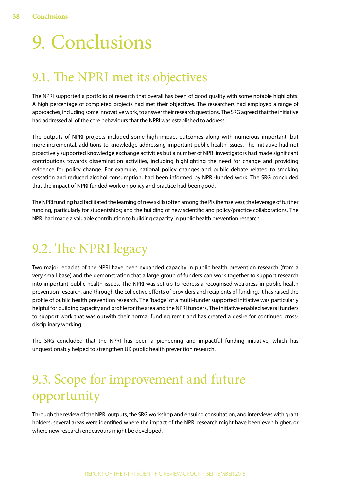# <span id="page-37-0"></span>9. Conclusions

## 9.1. The NPRI met its objectives

The NPRI supported a portfolio of research that overall has been of good quality with some notable highlights. A high percentage of completed projects had met their objectives. The researchers had employed a range of approaches, including some innovative work, to answer their research questions. The SRG agreed that the initiative had addressed all of the core behaviours that the NPRI was established to address.

The outputs of NPRI projects included some high impact outcomes along with numerous important, but more incremental, additions to knowledge addressing important public health issues. The initiative had not proactively supported knowledge exchange activities but a number of NPRI investigators had made significant contributions towards dissemination activities, including highlighting the need for change and providing evidence for policy change. For example, national policy changes and public debate related to smoking cessation and reduced alcohol consumption, had been informed by NPRI-funded work. The SRG concluded that the impact of NPRI funded work on policy and practice had been good.

The NPRI funding had facilitated the learning of new skills (often among the PIs themselves); the leverage of further funding, particularly for studentships; and the building of new scientific and policy/practice collaborations. The NPRI had made a valuable contribution to building capacity in public health prevention research.

# 9.2. The NPRI legacy

Two major legacies of the NPRI have been expanded capacity in public health prevention research (from a very small base) and the demonstration that a large group of funders can work together to support research into important public health issues. The NPRI was set up to redress a recognised weakness in public health prevention research, and through the collective efforts of providers and recipients of funding, it has raised the profile of public health prevention research. The 'badge' of a multi-funder supported initiative was particularly helpful for building capacity and profile for the area and the NPRI funders. The initiative enabled several funders to support work that was outwith their normal funding remit and has created a desire for continued crossdisciplinary working.

The SRG concluded that the NPRI has been a pioneering and impactful funding initiative, which has unquestionably helped to strengthen UK public health prevention research.

# 9.3. Scope for improvement and future opportunity

Through the review of the NPRI outputs, the SRG workshop and ensuing consultation, and interviews with grant holders, several areas were identified where the impact of the NPRI research might have been even higher, or where new research endeavours might be developed.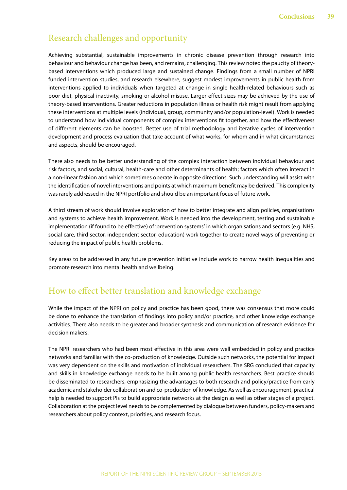### Research challenges and opportunity

Achieving substantial, sustainable improvements in chronic disease prevention through research into behaviour and behaviour change has been, and remains, challenging. This review noted the paucity of theorybased interventions which produced large and sustained change. Findings from a small number of NPRI funded intervention studies, and research elsewhere, suggest modest improvements in public health from interventions applied to individuals when targeted at change in single health-related behaviours such as poor diet, physical inactivity, smoking or alcohol misuse. Larger effect sizes may be achieved by the use of theory-based interventions. Greater reductions in population illness or health risk might result from applying these interventions at multiple levels (individual, group, community and/or population-level). Work is needed to understand how individual components of complex interventions fit together, and how the effectiveness of different elements can be boosted. Better use of trial methodology and iterative cycles of intervention development and process evaluation that take account of what works, for whom and in what circumstances and aspects, should be encouraged.

There also needs to be better understanding of the complex interaction between individual behaviour and risk factors, and social, cultural, health-care and other determinants of health; factors which often interact in a non-linear fashion and which sometimes operate in opposite directions. Such understanding will assist with the identification of novel interventions and points at which maximum benefit may be derived. This complexity was rarely addressed in the NPRI portfolio and should be an important focus of future work.

A third stream of work should involve exploration of how to better integrate and align policies, organisations and systems to achieve health improvement. Work is needed into the development, testing and sustainable implementation (if found to be effective) of 'prevention systems' in which organisations and sectors (e.g. NHS, social care, third sector, independent sector, education) work together to create novel ways of preventing or reducing the impact of public health problems.

Key areas to be addressed in any future prevention initiative include work to narrow health inequalities and promote research into mental health and wellbeing.

### How to effect better translation and knowledge exchange

While the impact of the NPRI on policy and practice has been good, there was consensus that more could be done to enhance the translation of findings into policy and/or practice, and other knowledge exchange activities. There also needs to be greater and broader synthesis and communication of research evidence for decision makers.

The NPRI researchers who had been most effective in this area were well embedded in policy and practice networks and familiar with the co-production of knowledge. Outside such networks, the potential for impact was very dependent on the skills and motivation of individual researchers. The SRG concluded that capacity and skills in knowledge exchange needs to be built among public health researchers. Best practice should be disseminated to researchers, emphasizing the advantages to both research and policy/practice from early academic and stakeholder collaboration and co-production of knowledge. As well as encouragement, practical help is needed to support PIs to build appropriate networks at the design as well as other stages of a project. Collaboration at the project level needs to be complemented by dialogue between funders, policy-makers and researchers about policy context, priorities, and research focus.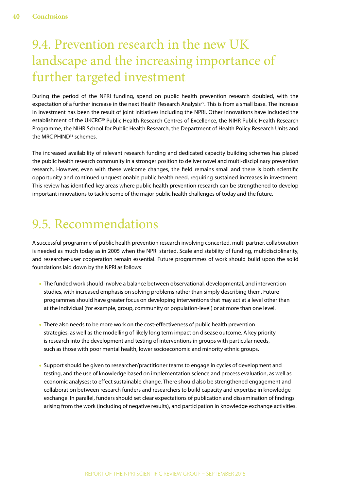# <span id="page-39-0"></span>9.4. Prevention research in the new UK landscape and the increasing importance of further targeted investment

During the period of the NPRI funding, spend on public health prevention research doubled, with the expectation of a further increase in the next Health Research Analysis<sup>29</sup>. This is from a small base. The increase in investment has been the result of joint initiatives including the NPRI. Other innovations have included the establishment of the UKCRC<sup>30</sup> Public Health Research Centres of Excellence, the NIHR Public Health Research Programme, the NIHR School for Public Health Research, the Department of Health Policy Research Units and the MRC PHIND<sup>31</sup> schemes.

The increased availability of relevant research funding and dedicated capacity building schemes has placed the public health research community in a stronger position to deliver novel and multi-disciplinary prevention research. However, even with these welcome changes, the field remains small and there is both scientific opportunity and continued unquestionable public health need, requiring sustained increases in investment. This review has identified key areas where public health prevention research can be strengthened to develop important innovations to tackle some of the major public health challenges of today and the future.

### 9.5. Recommendations

A successful programme of public health prevention research involving concerted, multi partner, collaboration is needed as much today as in 2005 when the NPRI started. Scale and stability of funding, multidisciplinarity, and researcher-user cooperation remain essential. Future programmes of work should build upon the solid foundations laid down by the NPRI as follows:

- **•** The funded work should involve a balance between observational, developmental, and intervention studies, with increased emphasis on solving problems rather than simply describing them. Future programmes should have greater focus on developing interventions that may act at a level other than at the individual (for example, group, community or population-level) or at more than one level.
- **•** There also needs to be more work on the cost-effectiveness of public health prevention strategies, as well as the modelling of likely long term impact on disease outcome. A key priority is research into the development and testing of interventions in groups with particular needs, such as those with poor mental health, lower socioeconomic and minority ethnic groups.
- **•** Support should be given to researcher/practitioner teams to engage in cycles of development and testing, and the use of knowledge based on implementation science and process evaluation, as well as economic analyses; to effect sustainable change. There should also be strengthened engagement and collaboration between research funders and researchers to build capacity and expertise in knowledge exchange. In parallel, funders should set clear expectations of publication and dissemination of findings arising from the work (including of negative results), and participation in knowledge exchange activities.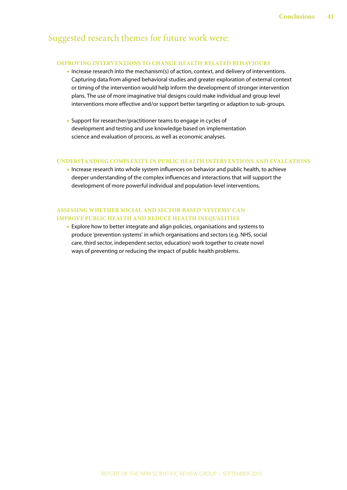### Suggested research themes for future work were:

#### **IMPROVING INTERVENTIONS TO CHANGE HEALTH-RELATED BEHAVIOURS**

- **•** Increase research into the mechanism(s) of action, context, and delivery of interventions. Capturing data from aligned behavioral studies and greater exploration of external context or timing of the intervention would help inform the development of stronger intervention plans. The use of more imaginative trial designs could make individual and group level interventions more effective and/or support better targeting or adaption to sub-groups.
- **•** Support for researcher/practitioner teams to engage in cycles of development and testing and use knowledge based on implementation science and evaluation of process, as well as economic analyses.

#### **UNDERSTANDING COMPLEXITY IN PUBLIC HEALTH INTERVENTIONS AND EVALUATIONS**

**•** Increase research into whole system influences on behavior and public health, to achieve deeper understanding of the complex influences and interactions that will support the development of more powerful individual and population-level interventions.

#### **ASSESSING WHETHER SOCIAL AND SECTOR-BASED 'SYSTEMS' CAN IMPROVE PUBLIC HEALTH AND REDUCE HEALTH INEQUALITIES**

**•** Explore how to better integrate and align policies, organisations and systems to produce 'prevention systems' in which organisations and sectors (e.g. NHS, social care, third sector, independent sector, education) work together to create novel ways of preventing or reducing the impact of public health problems.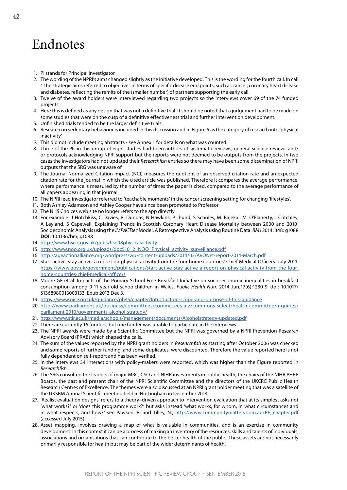### <span id="page-41-0"></span>Endnotes

- <span id="page-41-1"></span>1. PI stands for Principal Investigator
- <span id="page-41-2"></span>2. The wording of the NPRI's aims changed slightly as the initiative developed. This is the wording for the fourth call. In call 1 the strategic aims referred to objectives in terms of specific disease end points, such as cancer, coronary heart disease and diabetes, reflecting the remits of the (smaller number) of partners supporting the early call.
- <span id="page-41-3"></span>3. Twelve of the award holders were interviewed regarding two projects so the interviews cover 69 of the 74 funded projects
- <span id="page-41-4"></span>4. Here this is defined as any design that was not a definitive trial. It should be noted that a judgement had to be made on some studies that were on the cusp of a definitive effectiveness trial and further intervention development.
- <span id="page-41-5"></span>5. Unfinished trials tended to be the larger definitive trials.
- <span id="page-41-6"></span>6. Research on sedentary behaviour is included in this discussion and in Figure 5 as the category of research into 'physical inactivity'
- <span id="page-41-7"></span>7. This did not include meeting abstracts - see Annex 1 for details on what was counted.
- <span id="page-41-8"></span>8. Three of the PIs in this group of eight studies had been authors of systematic reviews, general science reviews and/ or protocols acknowledging NPRI support but the reports were not deemed to be outputs from the projects. In two cases the investigators had not updated their *Researchfish* entries so there may have been some dissemination of NPRI outputs that the SRG was unaware of.
- <span id="page-41-9"></span>9. The Journal Normalized Citation Impact (NCI) measures the quotient of an observed citation rate and an expected citation rate for the journal in which the cited article was published. Therefore it compares the average performance, where performance is measured by the number of times the paper is cited, compared to the average performance of all papers appearing in that journal.
- <span id="page-41-10"></span>10. The NPRI lead investigator referred to 'teachable moments' in the cancer screening setting for changing 'lifestyles'.
- <span id="page-41-11"></span>11. Both Ashley Adamson and Ashley Cooper have since been promoted to Professor
- <span id="page-41-12"></span>12. The NHS Choices web site no longer refers to the app directly
- <span id="page-41-13"></span>13. For example: J Hotchkiss, C Davies, R. Dundas, N Hawkins, P Jhund, S Scholes, M. Bajekal, M. O'Flaherty, J Critchley, A Leyland, S Capewell. Explaining Trends in Scottish Coronary Heart Disease Mortality between 2000 and 2010: Socioeconomic Analysis using the *IMPACTsec* Model. A Retrospective Analysis using Routine Data. *BMJ* 2014; 348: g1088 **DOI**: 10.1136/bmj.g1088
- <span id="page-41-14"></span>14. <http://www.hscic.gov.uk/pubs/hse08physicalactivity>
- <span id="page-41-15"></span>15. [http://www.noo.org.uk/uploads/doc510\\_2\\_NOO\\_Physical\\_activity\\_surveillance.pdf](http://www.noo.org.uk/uploads/doc510_2_NOO_Physical_activity_surveillance.pdf)
- <span id="page-41-16"></span>16. <http://ageactionalliance.org/wordpress/wp-content/uploads/2014/03/AVONet-report-2014-March.pdf>
- <span id="page-41-17"></span>17. Start active, stay active: a report on physical activity from the four home countries' Chief Medical Officers. July 2011. [https://www.gov.uk/government/publications/start-active-stay-active-a-report-on-physical-activity-from-the-four](https://www.gov.uk/government/publications/start-active-stay-active-a-report-on-physical-activity-from-the-four-home-countries-chief-medical-officers)[home-countries-chief-medical-officers](https://www.gov.uk/government/publications/start-active-stay-active-a-report-on-physical-activity-from-the-four-home-countries-chief-medical-officers)
- <span id="page-41-18"></span>18. Moore GF et al. Impacts of the Primary School Free Breakfast Initiative on socio-economic inequalities in breakfast consumption among 9-11-year-old schoolchildren in Wales. *Public Health Nutr*. 2014 Jun;17(6):1280-9. doi: 10.1017/ S1368980013003133. Epub 2013 Dec 3.
- <span id="page-41-19"></span>19. <https://www.nice.org.uk/guidance/ph45/chapter/Introduction-scope-and-purpose-of-this-guidance>
- <span id="page-41-20"></span>20. [http://www.parliament.uk/business/committees/committees-a-z/commons-select/health-committee/inquiries/](http://www.parliament.uk/business/committees/committees-a-z/commons-select/health-committee/inquiries/parliament-2010/governments-alcohol-strategy/) [parliament-2010/governments-alcohol-strategy/](http://www.parliament.uk/business/committees/committees-a-z/commons-select/health-committee/inquiries/parliament-2010/governments-alcohol-strategy/)
- <span id="page-41-21"></span>21. <http://www.stir.ac.uk/media/schools/management/documents/Alcoholstrategy-updated.pdf>
- <span id="page-41-22"></span>22. There are currently 16 funders, but one funder was unable to participate in the interviews
- <span id="page-41-23"></span>23. The NPRI awards were made by a Scientific Committee but the NPRI was governed by a NPRI Prevention Research Advisory Board (PRAB) which shaped the calls.
- <span id="page-41-24"></span>24. The sum of the values reported by the NPRI grant holders in *Researchfish* as starting after October 2006 was checked and some reports of further funding, and some duplicates, were discounted. Therefore the value reported here is not fully dependent on self-report and has been verified.
- <span id="page-41-25"></span>25. In the interviews 34 interactions with policy-makers were reported, which was higher than the Figure reported in *Researchfish*.
- <span id="page-41-26"></span>26. The SRG consulted the leaders of major MRC, CSO and NIHR investments in public health, the chairs of the NIHR PHRP Boards, the past and present chair of the NPRI Scientific Committee and the directors of the UKCRC Public Health Research Centres of Excellence. The themes were also discussed at an NPRI grant holder meeting that was a satellite of the UKSBM Annual Scientific meeting held in Nottingham in December 2014.
- <span id="page-41-27"></span>27. 'Realist evaluation designs' refers to a theory–driven approach to intervention evaluation that at its simplest asks not 'what works?' or 'does this programme work?' but asks instead 'what works, for whom, in what circumstances and in what respects, and how?' see Pawson, R. and Tilley, N., [http://www.communitymatters.com.au/RE\\_chapter.pdf](http://www.communitymatters.com.au/RE_chapter.pdf) (accessed July 2015).
- 28. Asset mapping, involves drawing a map of what is valuable in communities, and is an exercise in community development. In this context it can be a process of making an inventory of the resources, skills and talents of individuals, associations and organisations that can contribute to the better health of the public. These assets are not necessarily primarily responsible for health but may be part of the wider determinants of health.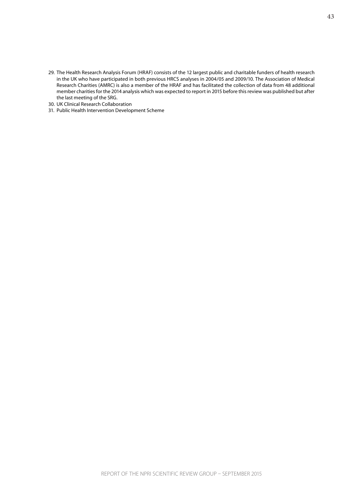- <span id="page-42-0"></span>29. The Health Research Analysis Forum (HRAF) consists of the 12 largest public and charitable funders of health research in the UK who have participated in both previous HRCS analyses in 2004/05 and 2009/10. The Association of Medical Research Charities (AMRC) is also a member of the HRAF and has facilitated the collection of data from 48 additional member charities for the 2014 analysis which was expected to report in 2015 before this review was published but after the last meeting of the SRG.
- <span id="page-42-1"></span>30. UK Clinical Research Collaboration
- <span id="page-42-2"></span>31. Public Health Intervention Development Scheme